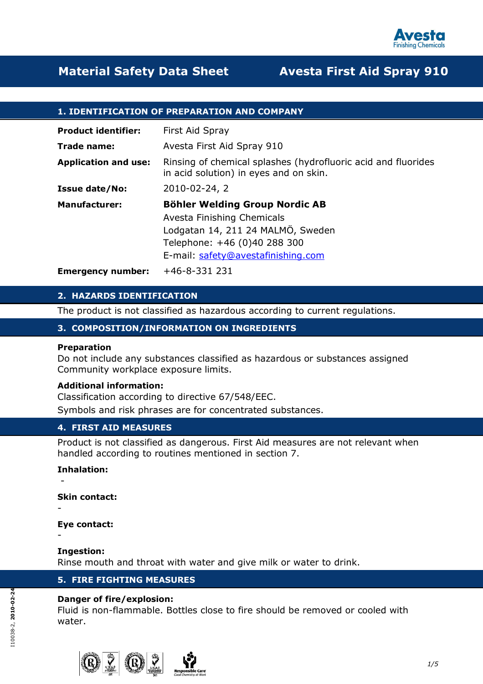

## 1. IDENTIFICATION OF PREPARATION AND COMPANY

| <b>Product identifier:</b>  | First Aid Spray                                                                                                                                                                |
|-----------------------------|--------------------------------------------------------------------------------------------------------------------------------------------------------------------------------|
| Trade name:                 | Avesta First Aid Spray 910                                                                                                                                                     |
| <b>Application and use:</b> | Rinsing of chemical splashes (hydrofluoric acid and fluorides<br>in acid solution) in eyes and on skin.                                                                        |
| <b>Issue date/No:</b>       | 2010-02-24, 2                                                                                                                                                                  |
| <b>Manufacturer:</b>        | <b>Böhler Welding Group Nordic AB</b><br>Avesta Finishing Chemicals<br>Lodgatan 14, 211 24 MALMÖ, Sweden<br>Telephone: +46 (0)40 288 300<br>E-mail: safety@avestafinishing.com |
| <b>Emergency number:</b>    | $+46-8-331$ 231                                                                                                                                                                |

#### 2. HAZARDS IDENTIFICATION

The product is not classified as hazardous according to current regulations.

#### 3. COMPOSITION/INFORMATION ON INGREDIENTS

#### Preparation

Do not include any substances classified as hazardous or substances assigned Community workplace exposure limits.

#### Additional information:

Classification according to directive 67/548/EEC. Symbols and risk phrases are for concentrated substances.

## 4. FIRST AID MEASURES

Product is not classified as dangerous. First Aid measures are not relevant when handled according to routines mentioned in section 7.

#### Inhalation:

-

-

-

Skin contact:

#### Eye contact:

#### Ingestion:

Rinse mouth and throat with water and give milk or water to drink.

## 5. FIRE FIGHTING MEASURES

#### Danger of fire/explosion:

Fluid is non-flammable. Bottles close to fire should be removed or cooled with water.





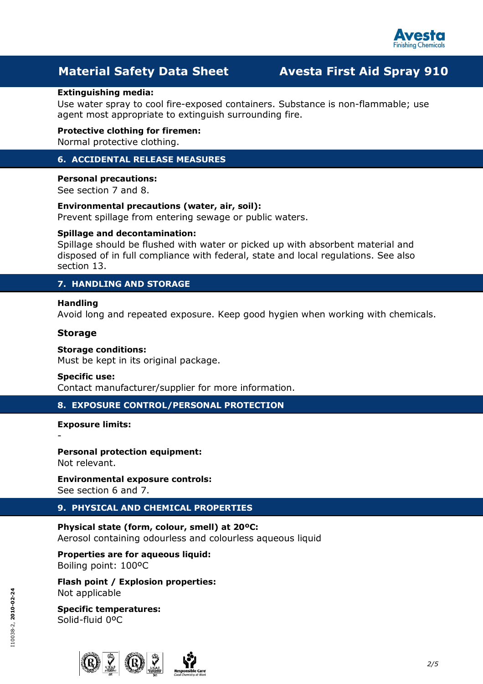

#### Extinguishing media:

Use water spray to cool fire-exposed containers. Substance is non-flammable; use agent most appropriate to extinguish surrounding fire.

Protective clothing for firemen: Normal protective clothing.

# 6. ACCIDENTAL RELEASE MEASURES

## Personal precautions:

See section 7 and 8.

Environmental precautions (water, air, soil): Prevent spillage from entering sewage or public waters.

#### Spillage and decontamination:

Spillage should be flushed with water or picked up with absorbent material and disposed of in full compliance with federal, state and local regulations. See also section 13.

## 7. HANDLING AND STORAGE

#### Handling

Avoid long and repeated exposure. Keep good hygien when working with chemicals.

#### Storage

#### Storage conditions:

Must be kept in its original package.

#### Specific use:

Contact manufacturer/supplier for more information.

# 8. EXPOSURE CONTROL/PERSONAL PROTECTION

#### Exposure limits:

-

Personal protection equipment: Not relevant.

Environmental exposure controls: See section 6 and 7.

# 9. PHYSICAL AND CHEMICAL PROPERTIES

Physical state (form, colour, smell) at 20ºC: Aerosol containing odourless and colourless aqueous liquid

# Properties are for aqueous liquid:

Boiling point: 100ºC

Flash point / Explosion properties: Not applicable

#### Specific temperatures: Solid-fluid 0ºC



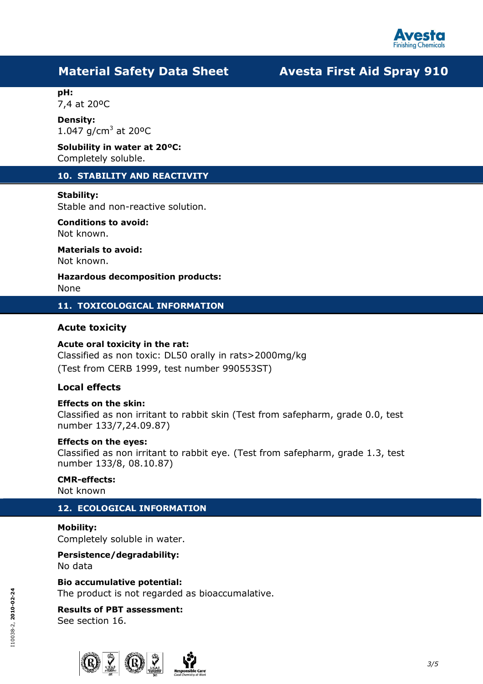

pH: 7,4 at 20ºC

Density: 1.047  $g/cm^3$  at 20°C

Solubility in water at 20ºC: Completely soluble.

# 10. STABILITY AND REACTIVITY

## Stability:

Stable and non-reactive solution.

# Conditions to avoid:

Not known.

Materials to avoid:

Not known.

Hazardous decomposition products: None

11. TOXICOLOGICAL INFORMATION

## Acute toxicity

## Acute oral toxicity in the rat:

Classified as non toxic: DL50 orally in rats>2000mg/kg (Test from CERB 1999, test number 990553ST)

# Local effects

## Effects on the skin:

Classified as non irritant to rabbit skin (Test from safepharm, grade 0.0, test number 133/7,24.09.87)

## Effects on the eyes:

Classified as non irritant to rabbit eye. (Test from safepharm, grade 1.3, test number 133/8, 08.10.87)

# CMR-effects:

Not known

# 12. ECOLOGICAL INFORMATION

# Mobility:

Completely soluble in water.

# Persistence/degradability:

No data

Bio accumulative potential:

The product is not regarded as bioaccumalative.

#### Results of PBT assessment: See section 16.

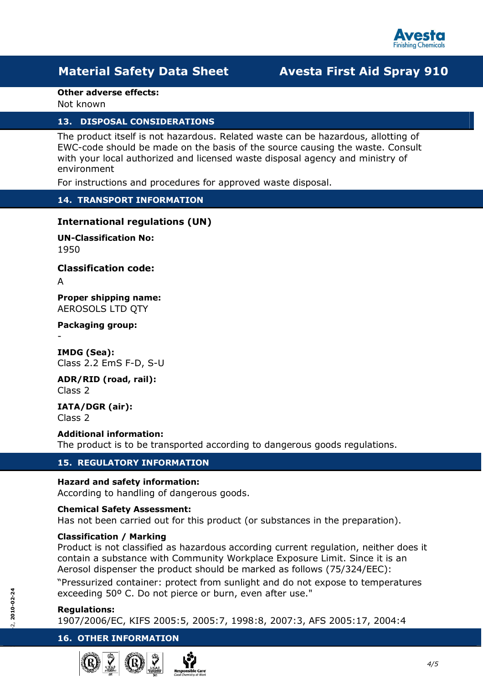

#### Other adverse effects:

Not known

## 13. DISPOSAL CONSIDERATIONS

The product itself is not hazardous. Related waste can be hazardous, allotting of EWC-code should be made on the basis of the source causing the waste. Consult with your local authorized and licensed waste disposal agency and ministry of environment

For instructions and procedures for approved waste disposal.

# 14. TRANSPORT INFORMATION

# International regulations (UN)

UN-Classification No: 1950

Classification code:

A

-

Proper shipping name: AEROSOLS LTD QTY

Packaging group:

IMDG (Sea): Class 2.2 EmS F-D, S-U

ADR/RID (road, rail): Class 2

IATA/DGR (air): Class 2

Additional information: The product is to be transported according to dangerous goods regulations.

# 15. REGULATORY INFORMATION

## Hazard and safety information:

According to handling of dangerous goods.

#### Chemical Safety Assessment:

Has not been carried out for this product (or substances in the preparation).

#### Classification / Marking

Product is not classified as hazardous according current regulation, neither does it contain a substance with Community Workplace Exposure Limit. Since it is an Aerosol dispenser the product should be marked as follows (75/324/EEC):

"Pressurized container: protect from sunlight and do not expose to temperatures exceeding 50º C. Do not pierce or burn, even after use."

#### Regulations:

1907/2006/EC, KIFS 2005:5, 2005:7, 1998:8, 2007:3, AFS 2005:17, 2004:4

## 16. OTHER INFORMATION





4/5